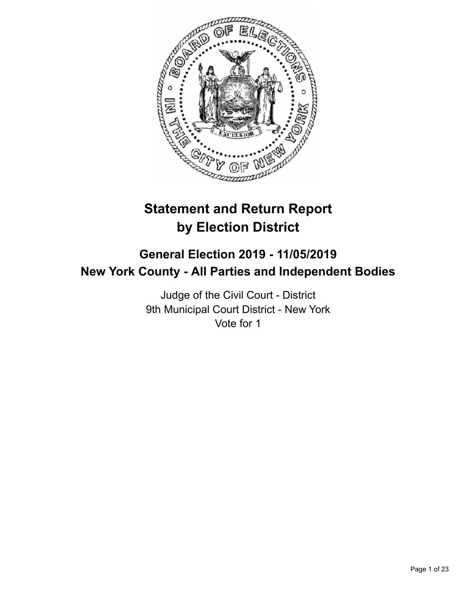

# **Statement and Return Report by Election District**

# **General Election 2019 - 11/05/2019 New York County - All Parties and Independent Bodies**

Judge of the Civil Court - District 9th Municipal Court District - New York Vote for 1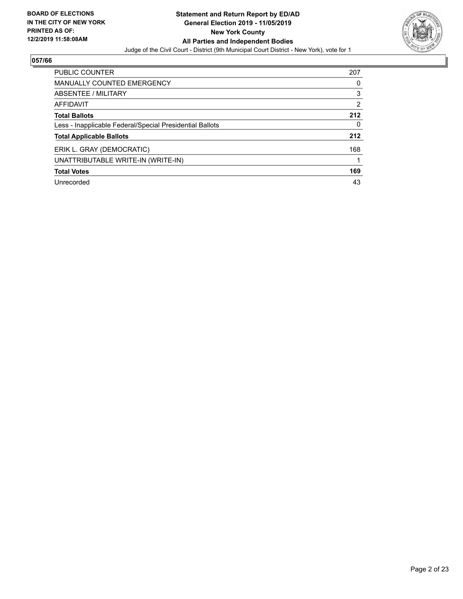

| <b>PUBLIC COUNTER</b>                                    | 207 |
|----------------------------------------------------------|-----|
| MANUALLY COUNTED EMERGENCY                               | 0   |
| ABSENTEE / MILITARY                                      | 3   |
| AFFIDAVIT                                                | 2   |
| <b>Total Ballots</b>                                     | 212 |
| Less - Inapplicable Federal/Special Presidential Ballots | 0   |
| <b>Total Applicable Ballots</b>                          | 212 |
| ERIK L. GRAY (DEMOCRATIC)                                | 168 |
| UNATTRIBUTABLE WRITE-IN (WRITE-IN)                       |     |
| <b>Total Votes</b>                                       | 169 |
| Unrecorded                                               | 43  |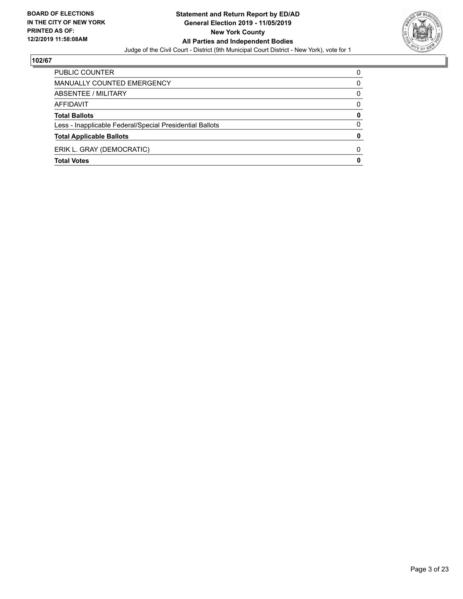

| PUBLIC COUNTER                                           | 0           |
|----------------------------------------------------------|-------------|
| MANUALLY COUNTED EMERGENCY                               | 0           |
| ABSENTEE / MILITARY                                      | $\Omega$    |
| AFFIDAVIT                                                | $\Omega$    |
| <b>Total Ballots</b>                                     | 0           |
| Less - Inapplicable Federal/Special Presidential Ballots | 0           |
| <b>Total Applicable Ballots</b>                          | 0           |
| ERIK L. GRAY (DEMOCRATIC)                                | 0           |
| <b>Total Votes</b>                                       | $\mathbf 0$ |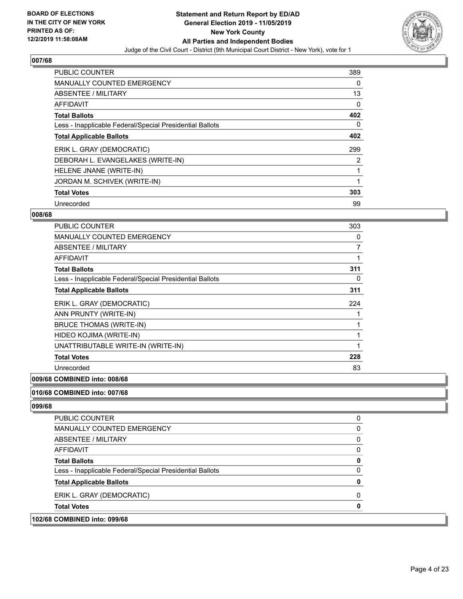

| PUBLIC COUNTER                                           | 389      |
|----------------------------------------------------------|----------|
| <b>MANUALLY COUNTED EMERGENCY</b>                        | 0        |
| ABSENTEE / MILITARY                                      | 13       |
| <b>AFFIDAVIT</b>                                         | 0        |
| <b>Total Ballots</b>                                     | 402      |
| Less - Inapplicable Federal/Special Presidential Ballots | $\Omega$ |
| <b>Total Applicable Ballots</b>                          | 402      |
| ERIK L. GRAY (DEMOCRATIC)                                | 299      |
| DEBORAH L. EVANGELAKES (WRITE-IN)                        | 2        |
| HELENE JNANE (WRITE-IN)                                  |          |
| JORDAN M. SCHIVEK (WRITE-IN)                             |          |
| <b>Total Votes</b>                                       | 303      |
| Unrecorded                                               | 99       |

#### **008/68**

| <b>PUBLIC COUNTER</b>                                    | 303 |
|----------------------------------------------------------|-----|
| MANUALLY COUNTED EMERGENCY                               | 0   |
| <b>ABSENTEE / MILITARY</b>                               | 7   |
| AFFIDAVIT                                                | 1   |
| <b>Total Ballots</b>                                     | 311 |
| Less - Inapplicable Federal/Special Presidential Ballots | 0   |
| <b>Total Applicable Ballots</b>                          | 311 |
| ERIK L. GRAY (DEMOCRATIC)                                | 224 |
| ANN PRUNTY (WRITE-IN)                                    |     |
| <b>BRUCE THOMAS (WRITE-IN)</b>                           | 1   |
| HIDEO KOJIMA (WRITE-IN)                                  |     |
| UNATTRIBUTABLE WRITE-IN (WRITE-IN)                       | 1   |
| <b>Total Votes</b>                                       | 228 |
| Unrecorded                                               | 83  |

# **009/68 COMBINED into: 008/68**

# **010/68 COMBINED into: 007/68**

| <b>PUBLIC COUNTER</b>                                    | 0 |
|----------------------------------------------------------|---|
| <b>MANUALLY COUNTED EMERGENCY</b>                        |   |
| ABSENTEE / MILITARY                                      | 0 |
| AFFIDAVIT                                                |   |
| <b>Total Ballots</b>                                     | o |
| Less - Inapplicable Federal/Special Presidential Ballots |   |
| <b>Total Applicable Ballots</b>                          |   |
| ERIK L. GRAY (DEMOCRATIC)                                |   |
| <b>Total Votes</b>                                       |   |
| 102/68 COMBINED into: 099/68                             |   |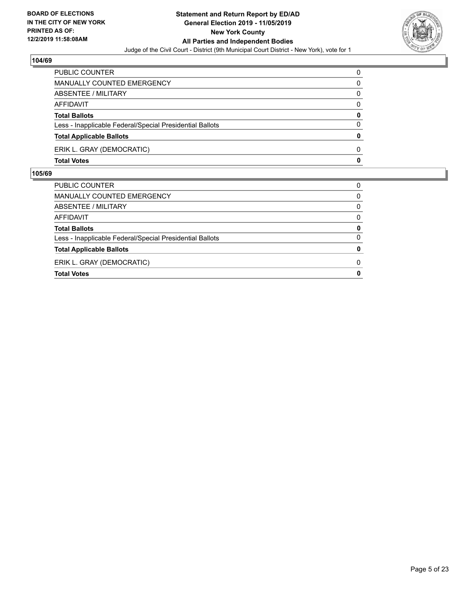

| <b>Total Votes</b>                                       | 0            |
|----------------------------------------------------------|--------------|
| ERIK L. GRAY (DEMOCRATIC)                                | 0            |
| <b>Total Applicable Ballots</b>                          | $\mathbf{0}$ |
| Less - Inapplicable Federal/Special Presidential Ballots | $\Omega$     |
| <b>Total Ballots</b>                                     | 0            |
| AFFIDAVIT                                                | 0            |
| ABSENTEE / MILITARY                                      | 0            |
| MANUALLY COUNTED EMERGENCY                               | 0            |
| PUBLIC COUNTER                                           | 0            |

| PUBLIC COUNTER                                           | 0            |
|----------------------------------------------------------|--------------|
| <b>MANUALLY COUNTED EMERGENCY</b>                        | $\Omega$     |
| <b>ABSENTEE / MILITARY</b>                               | 0            |
| AFFIDAVIT                                                | $\Omega$     |
| <b>Total Ballots</b>                                     | 0            |
| Less - Inapplicable Federal/Special Presidential Ballots | $\Omega$     |
| <b>Total Applicable Ballots</b>                          | 0            |
| ERIK L. GRAY (DEMOCRATIC)                                | 0            |
| <b>Total Votes</b>                                       | $\mathbf{0}$ |
|                                                          |              |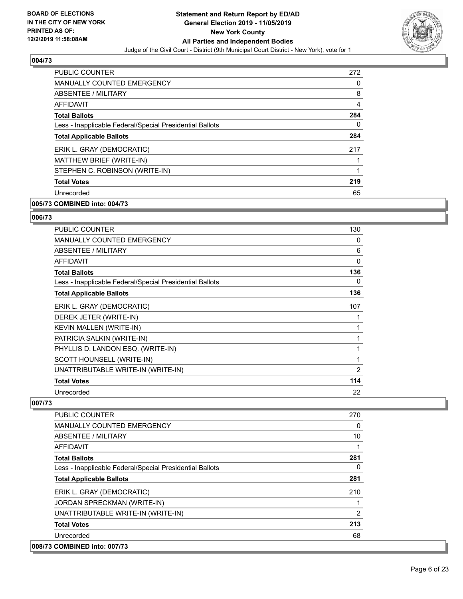

| PUBLIC COUNTER                                           | 272            |
|----------------------------------------------------------|----------------|
| <b>MANUALLY COUNTED EMERGENCY</b>                        | 0              |
| <b>ABSENTEE / MILITARY</b>                               | 8              |
| <b>AFFIDAVIT</b>                                         | $\overline{4}$ |
| <b>Total Ballots</b>                                     | 284            |
| Less - Inapplicable Federal/Special Presidential Ballots | 0              |
| <b>Total Applicable Ballots</b>                          | 284            |
| ERIK L. GRAY (DEMOCRATIC)                                | 217            |
| MATTHEW BRIEF (WRITE-IN)                                 |                |
| STEPHEN C. ROBINSON (WRITE-IN)                           | 1              |
| <b>Total Votes</b>                                       | 219            |
| Unrecorded                                               | 65             |

# **005/73 COMBINED into: 004/73**

#### **006/73**

| PUBLIC COUNTER                                           | 130            |
|----------------------------------------------------------|----------------|
| <b>MANUALLY COUNTED EMERGENCY</b>                        | 0              |
| ABSENTEE / MILITARY                                      | 6              |
| <b>AFFIDAVIT</b>                                         | 0              |
| <b>Total Ballots</b>                                     | 136            |
| Less - Inapplicable Federal/Special Presidential Ballots | 0              |
| <b>Total Applicable Ballots</b>                          | 136            |
| ERIK L. GRAY (DEMOCRATIC)                                | 107            |
| DEREK JETER (WRITE-IN)                                   |                |
| KEVIN MALLEN (WRITE-IN)                                  | 1              |
| PATRICIA SALKIN (WRITE-IN)                               | 1              |
| PHYLLIS D. LANDON ESQ. (WRITE-IN)                        | 1              |
| SCOTT HOUNSELL (WRITE-IN)                                | 1              |
| UNATTRIBUTABLE WRITE-IN (WRITE-IN)                       | $\overline{2}$ |
| <b>Total Votes</b>                                       | 114            |
| Unrecorded                                               | 22             |

| <b>PUBLIC COUNTER</b>                                    | 270      |
|----------------------------------------------------------|----------|
| <b>MANUALLY COUNTED EMERGENCY</b>                        | $\Omega$ |
| ABSENTEE / MILITARY                                      | 10       |
| AFFIDAVIT                                                |          |
| <b>Total Ballots</b>                                     | 281      |
| Less - Inapplicable Federal/Special Presidential Ballots | 0        |
| <b>Total Applicable Ballots</b>                          | 281      |
| ERIK L. GRAY (DEMOCRATIC)                                | 210      |
| JORDAN SPRECKMAN (WRITE-IN)                              |          |
| UNATTRIBUTABLE WRITE-IN (WRITE-IN)                       | 2        |
| <b>Total Votes</b>                                       | 213      |
| Unrecorded                                               | 68       |
| 008/73 COMBINED into: 007/73                             |          |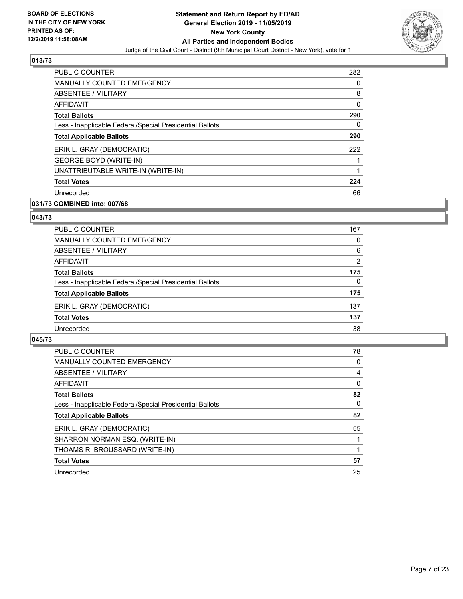

| <b>PUBLIC COUNTER</b>                                    | 282 |
|----------------------------------------------------------|-----|
| <b>MANUALLY COUNTED EMERGENCY</b>                        | 0   |
| ABSENTEE / MILITARY                                      | 8   |
| <b>AFFIDAVIT</b>                                         | 0   |
| <b>Total Ballots</b>                                     | 290 |
| Less - Inapplicable Federal/Special Presidential Ballots | 0   |
| <b>Total Applicable Ballots</b>                          | 290 |
| ERIK L. GRAY (DEMOCRATIC)                                | 222 |
| <b>GEORGE BOYD (WRITE-IN)</b>                            |     |
| UNATTRIBUTABLE WRITE-IN (WRITE-IN)                       |     |
| <b>Total Votes</b>                                       | 224 |
| Unrecorded                                               | 66  |

# **031/73 COMBINED into: 007/68**

#### **043/73**

| PUBLIC COUNTER                                           | 167      |
|----------------------------------------------------------|----------|
| MANUALLY COUNTED EMERGENCY                               | 0        |
| ABSENTEE / MILITARY                                      | 6        |
| AFFIDAVIT                                                | 2        |
| <b>Total Ballots</b>                                     | 175      |
| Less - Inapplicable Federal/Special Presidential Ballots | $\Omega$ |
| <b>Total Applicable Ballots</b>                          | 175      |
| ERIK L. GRAY (DEMOCRATIC)                                | 137      |
| <b>Total Votes</b>                                       | 137      |
| Unrecorded                                               | 38       |

| <b>PUBLIC COUNTER</b>                                    | 78       |
|----------------------------------------------------------|----------|
| MANUALLY COUNTED EMERGENCY                               | $\Omega$ |
| ABSENTEE / MILITARY                                      | 4        |
| <b>AFFIDAVIT</b>                                         | $\Omega$ |
| <b>Total Ballots</b>                                     | 82       |
| Less - Inapplicable Federal/Special Presidential Ballots | $\Omega$ |
| <b>Total Applicable Ballots</b>                          | 82       |
| ERIK L. GRAY (DEMOCRATIC)                                | 55       |
| SHARRON NORMAN ESQ. (WRITE-IN)                           |          |
| THOAMS R. BROUSSARD (WRITE-IN)                           |          |
| <b>Total Votes</b>                                       | 57       |
| Unrecorded                                               | 25       |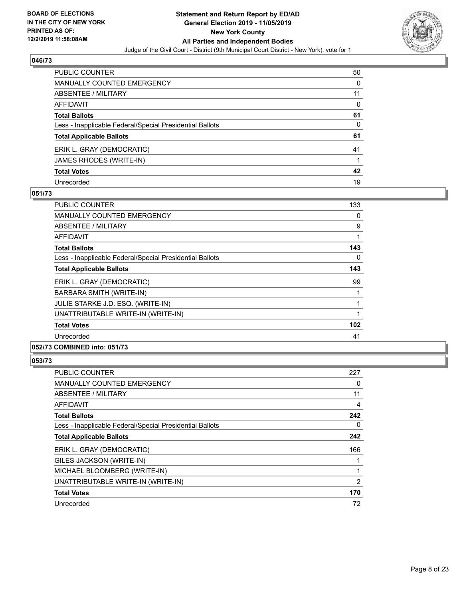

| PUBLIC COUNTER                                           | 50 |
|----------------------------------------------------------|----|
| <b>MANUALLY COUNTED EMERGENCY</b>                        | 0  |
| <b>ABSENTEE / MILITARY</b>                               | 11 |
| <b>AFFIDAVIT</b>                                         | 0  |
| <b>Total Ballots</b>                                     | 61 |
| Less - Inapplicable Federal/Special Presidential Ballots | 0  |
| <b>Total Applicable Ballots</b>                          | 61 |
| ERIK L. GRAY (DEMOCRATIC)                                | 41 |
| JAMES RHODES (WRITE-IN)                                  |    |
| <b>Total Votes</b>                                       | 42 |
| Unrecorded                                               | 19 |

## **051/73**

| <b>PUBLIC COUNTER</b>                                    | 133      |
|----------------------------------------------------------|----------|
| <b>MANUALLY COUNTED EMERGENCY</b>                        | 0        |
| ABSENTEE / MILITARY                                      | 9        |
| AFFIDAVIT                                                |          |
| <b>Total Ballots</b>                                     | 143      |
| Less - Inapplicable Federal/Special Presidential Ballots | $\Omega$ |
| <b>Total Applicable Ballots</b>                          | 143      |
| ERIK L. GRAY (DEMOCRATIC)                                | 99       |
| BARBARA SMITH (WRITE-IN)                                 |          |
| JULIE STARKE J.D. ESQ. (WRITE-IN)                        | 1        |
| UNATTRIBUTABLE WRITE-IN (WRITE-IN)                       |          |
| <b>Total Votes</b>                                       | 102      |
| Unrecorded                                               | 41       |
| 052/73 COMBINED into: 051/73                             |          |

| PUBLIC COUNTER                                           | 227            |
|----------------------------------------------------------|----------------|
| MANUALLY COUNTED EMERGENCY                               | 0              |
| ABSENTEE / MILITARY                                      | 11             |
| AFFIDAVIT                                                | 4              |
| <b>Total Ballots</b>                                     | 242            |
| Less - Inapplicable Federal/Special Presidential Ballots | 0              |
| <b>Total Applicable Ballots</b>                          | 242            |
| ERIK L. GRAY (DEMOCRATIC)                                | 166            |
| GILES JACKSON (WRITE-IN)                                 |                |
| MICHAEL BLOOMBERG (WRITE-IN)                             |                |
| UNATTRIBUTABLE WRITE-IN (WRITE-IN)                       | $\overline{2}$ |
| <b>Total Votes</b>                                       | 170            |
| Unrecorded                                               | 72             |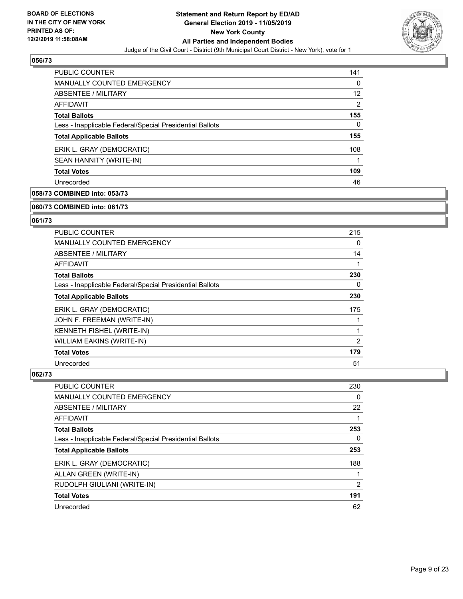

| <b>PUBLIC COUNTER</b>                                    | 141 |
|----------------------------------------------------------|-----|
| <b>MANUALLY COUNTED EMERGENCY</b>                        | 0   |
| ABSENTEE / MILITARY                                      | 12  |
| AFFIDAVIT                                                | 2   |
| <b>Total Ballots</b>                                     | 155 |
| Less - Inapplicable Federal/Special Presidential Ballots | 0   |
| <b>Total Applicable Ballots</b>                          | 155 |
| ERIK L. GRAY (DEMOCRATIC)                                | 108 |
| SEAN HANNITY (WRITE-IN)                                  |     |
| <b>Total Votes</b>                                       | 109 |
| Unrecorded                                               | 46  |

# **058/73 COMBINED into: 053/73**

#### **060/73 COMBINED into: 061/73**

# **061/73**

| <b>PUBLIC COUNTER</b>                                    | 215            |
|----------------------------------------------------------|----------------|
| <b>MANUALLY COUNTED EMERGENCY</b>                        | 0              |
| ABSENTEE / MILITARY                                      | 14             |
| AFFIDAVIT                                                | 1              |
| <b>Total Ballots</b>                                     | 230            |
| Less - Inapplicable Federal/Special Presidential Ballots | $\Omega$       |
| <b>Total Applicable Ballots</b>                          | 230            |
| ERIK L. GRAY (DEMOCRATIC)                                | 175            |
| JOHN F. FREEMAN (WRITE-IN)                               | 1              |
| KENNETH FISHEL (WRITE-IN)                                | 1              |
| WILLIAM EAKINS (WRITE-IN)                                | $\overline{2}$ |
| <b>Total Votes</b>                                       | 179            |
| Unrecorded                                               | 51             |

| <b>PUBLIC COUNTER</b>                                    | 230           |
|----------------------------------------------------------|---------------|
| <b>MANUALLY COUNTED EMERGENCY</b>                        | 0             |
| ABSENTEE / MILITARY                                      | 22            |
| AFFIDAVIT                                                |               |
| <b>Total Ballots</b>                                     | 253           |
| Less - Inapplicable Federal/Special Presidential Ballots | 0             |
| <b>Total Applicable Ballots</b>                          | 253           |
| ERIK L. GRAY (DEMOCRATIC)                                | 188           |
| ALLAN GREEN (WRITE-IN)                                   |               |
| RUDOLPH GIULIANI (WRITE-IN)                              | $\mathcal{P}$ |
| <b>Total Votes</b>                                       | 191           |
| Unrecorded                                               | 62            |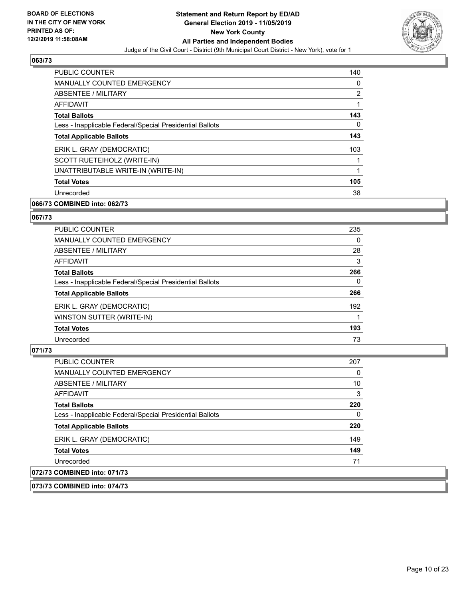

| <b>PUBLIC COUNTER</b>                                    | 140            |
|----------------------------------------------------------|----------------|
| <b>MANUALLY COUNTED EMERGENCY</b>                        | 0              |
| ABSENTEE / MILITARY                                      | $\overline{2}$ |
| <b>AFFIDAVIT</b>                                         | 1              |
| <b>Total Ballots</b>                                     | 143            |
| Less - Inapplicable Federal/Special Presidential Ballots | 0              |
| <b>Total Applicable Ballots</b>                          | 143            |
| ERIK L. GRAY (DEMOCRATIC)                                | 103            |
| SCOTT RUETEIHOLZ (WRITE-IN)                              |                |
| UNATTRIBUTABLE WRITE-IN (WRITE-IN)                       |                |
| <b>Total Votes</b>                                       | 105            |
| Unrecorded                                               | 38             |

# **066/73 COMBINED into: 062/73**

# **067/73**

| <b>PUBLIC COUNTER</b>                                    | 235      |
|----------------------------------------------------------|----------|
| <b>MANUALLY COUNTED EMERGENCY</b>                        | 0        |
| ABSENTEE / MILITARY                                      | 28       |
| <b>AFFIDAVIT</b>                                         | 3        |
| <b>Total Ballots</b>                                     | 266      |
| Less - Inapplicable Federal/Special Presidential Ballots | $\Omega$ |
| <b>Total Applicable Ballots</b>                          | 266      |
| ERIK L. GRAY (DEMOCRATIC)                                | 192      |
| WINSTON SUTTER (WRITE-IN)                                |          |
| <b>Total Votes</b>                                       | 193      |
| Unrecorded                                               | 73       |

#### **071/73**

| PUBLIC COUNTER                                           | 207 |
|----------------------------------------------------------|-----|
| <b>MANUALLY COUNTED EMERGENCY</b>                        | 0   |
| ABSENTEE / MILITARY                                      | 10  |
| AFFIDAVIT                                                | 3   |
| <b>Total Ballots</b>                                     | 220 |
| Less - Inapplicable Federal/Special Presidential Ballots | 0   |
| <b>Total Applicable Ballots</b>                          | 220 |
| ERIK L. GRAY (DEMOCRATIC)                                | 149 |
| <b>Total Votes</b>                                       | 149 |
| Unrecorded                                               | 71  |
| 072/73 COMBINED into: 071/73                             |     |

#### **073/73 COMBINED into: 074/73**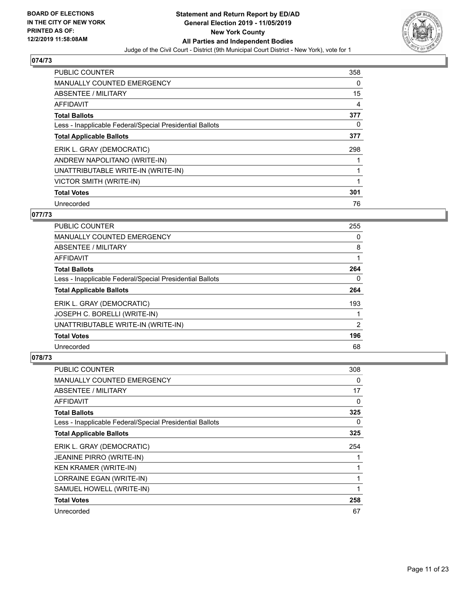

| PUBLIC COUNTER                                           | 358 |
|----------------------------------------------------------|-----|
| <b>MANUALLY COUNTED EMERGENCY</b>                        | 0   |
| ABSENTEE / MILITARY                                      | 15  |
| <b>AFFIDAVIT</b>                                         | 4   |
| <b>Total Ballots</b>                                     | 377 |
| Less - Inapplicable Federal/Special Presidential Ballots | 0   |
| <b>Total Applicable Ballots</b>                          | 377 |
| ERIK L. GRAY (DEMOCRATIC)                                | 298 |
| ANDREW NAPOLITANO (WRITE-IN)                             |     |
| UNATTRIBUTABLE WRITE-IN (WRITE-IN)                       |     |
| VICTOR SMITH (WRITE-IN)                                  |     |
| <b>Total Votes</b>                                       | 301 |
| Unrecorded                                               | 76  |

# **077/73**

| <b>PUBLIC COUNTER</b>                                    | 255      |
|----------------------------------------------------------|----------|
| <b>MANUALLY COUNTED EMERGENCY</b>                        | 0        |
| ABSENTEE / MILITARY                                      | 8        |
| <b>AFFIDAVIT</b>                                         |          |
| <b>Total Ballots</b>                                     | 264      |
| Less - Inapplicable Federal/Special Presidential Ballots | $\Omega$ |
| <b>Total Applicable Ballots</b>                          | 264      |
| ERIK L. GRAY (DEMOCRATIC)                                | 193      |
| JOSEPH C. BORELLI (WRITE-IN)                             |          |
| UNATTRIBUTABLE WRITE-IN (WRITE-IN)                       | 2        |
| <b>Total Votes</b>                                       | 196      |
| Unrecorded                                               | 68       |

| PUBLIC COUNTER                                           | 308 |
|----------------------------------------------------------|-----|
| <b>MANUALLY COUNTED EMERGENCY</b>                        | 0   |
| ABSENTEE / MILITARY                                      | 17  |
| AFFIDAVIT                                                | 0   |
| <b>Total Ballots</b>                                     | 325 |
| Less - Inapplicable Federal/Special Presidential Ballots | 0   |
| <b>Total Applicable Ballots</b>                          | 325 |
| ERIK L. GRAY (DEMOCRATIC)                                | 254 |
| <b>JEANINE PIRRO (WRITE-IN)</b>                          |     |
| KEN KRAMER (WRITE-IN)                                    |     |
| LORRAINE EGAN (WRITE-IN)                                 | 1   |
| SAMUEL HOWELL (WRITE-IN)                                 | 1   |
| <b>Total Votes</b>                                       | 258 |
| Unrecorded                                               | 67  |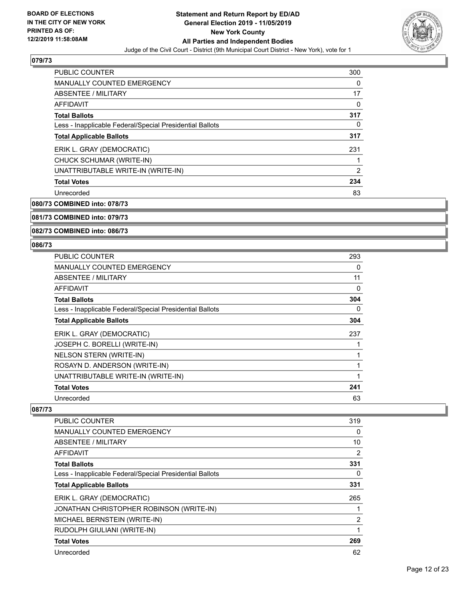

| <b>PUBLIC COUNTER</b>                                    | 300            |
|----------------------------------------------------------|----------------|
| <b>MANUALLY COUNTED EMERGENCY</b>                        | 0              |
| ABSENTEE / MILITARY                                      | 17             |
| <b>AFFIDAVIT</b>                                         | 0              |
| <b>Total Ballots</b>                                     | 317            |
| Less - Inapplicable Federal/Special Presidential Ballots | 0              |
| <b>Total Applicable Ballots</b>                          | 317            |
| ERIK L. GRAY (DEMOCRATIC)                                | 231            |
| CHUCK SCHUMAR (WRITE-IN)                                 |                |
| UNATTRIBUTABLE WRITE-IN (WRITE-IN)                       | $\overline{2}$ |
| <b>Total Votes</b>                                       | 234            |
| Unrecorded                                               | 83             |

**080/73 COMBINED into: 078/73**

#### **081/73 COMBINED into: 079/73**

**082/73 COMBINED into: 086/73**

#### **086/73**

| <b>PUBLIC COUNTER</b>                                    | 293 |
|----------------------------------------------------------|-----|
| <b>MANUALLY COUNTED EMERGENCY</b>                        | 0   |
| ABSENTEE / MILITARY                                      | 11  |
| <b>AFFIDAVIT</b>                                         | 0   |
| <b>Total Ballots</b>                                     | 304 |
| Less - Inapplicable Federal/Special Presidential Ballots | 0   |
| <b>Total Applicable Ballots</b>                          | 304 |
| ERIK L. GRAY (DEMOCRATIC)                                | 237 |
| JOSEPH C. BORELLI (WRITE-IN)                             |     |
| <b>NELSON STERN (WRITE-IN)</b>                           | 1   |
| ROSAYN D. ANDERSON (WRITE-IN)                            | 1   |
| UNATTRIBUTABLE WRITE-IN (WRITE-IN)                       | 1   |
| <b>Total Votes</b>                                       | 241 |
| Unrecorded                                               | 63  |

| <b>PUBLIC COUNTER</b>                                    | 319 |
|----------------------------------------------------------|-----|
| <b>MANUALLY COUNTED EMERGENCY</b>                        | 0   |
| ABSENTEE / MILITARY                                      | 10  |
| AFFIDAVIT                                                | 2   |
| <b>Total Ballots</b>                                     | 331 |
| Less - Inapplicable Federal/Special Presidential Ballots | 0   |
| <b>Total Applicable Ballots</b>                          | 331 |
| ERIK L. GRAY (DEMOCRATIC)                                | 265 |
| JONATHAN CHRISTOPHER ROBINSON (WRITE-IN)                 |     |
| MICHAEL BERNSTEIN (WRITE-IN)                             | 2   |
| RUDOLPH GIULIANI (WRITE-IN)                              |     |
| <b>Total Votes</b>                                       | 269 |
| Unrecorded                                               | 62  |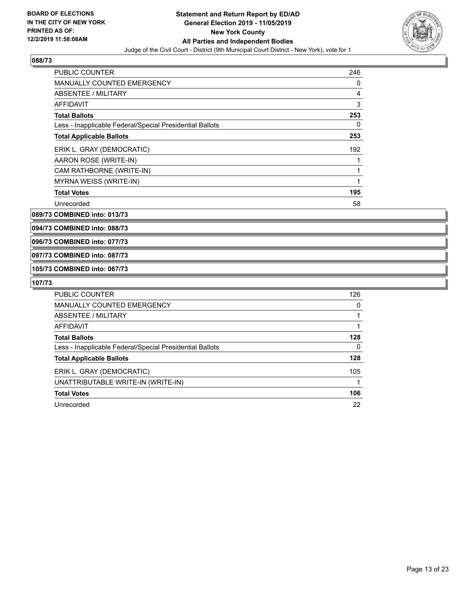

| <b>PUBLIC COUNTER</b>                                    | 246 |
|----------------------------------------------------------|-----|
| MANUALLY COUNTED EMERGENCY                               | 0   |
| ABSENTEE / MILITARY                                      | 4   |
| <b>AFFIDAVIT</b>                                         | 3   |
| <b>Total Ballots</b>                                     | 253 |
| Less - Inapplicable Federal/Special Presidential Ballots | 0   |
| <b>Total Applicable Ballots</b>                          | 253 |
| ERIK L. GRAY (DEMOCRATIC)                                | 192 |
| AARON ROSE (WRITE-IN)                                    |     |
| CAM RATHBORNE (WRITE-IN)                                 | 1   |
| MYRNA WEISS (WRITE-IN)                                   | 1   |
| <b>Total Votes</b>                                       | 195 |
| Unrecorded                                               | 58  |

**089/73 COMBINED into: 013/73**

**094/73 COMBINED into: 088/73**

**096/73 COMBINED into: 077/73**

#### **097/73 COMBINED into: 087/73**

**105/73 COMBINED into: 067/73**

| <b>PUBLIC COUNTER</b>                                    | 126      |
|----------------------------------------------------------|----------|
| <b>MANUALLY COUNTED EMERGENCY</b>                        | 0        |
| ABSENTEE / MILITARY                                      |          |
| AFFIDAVIT                                                |          |
| <b>Total Ballots</b>                                     | 128      |
| Less - Inapplicable Federal/Special Presidential Ballots | $\Omega$ |
| <b>Total Applicable Ballots</b>                          | 128      |
| ERIK L. GRAY (DEMOCRATIC)                                | 105      |
| UNATTRIBUTABLE WRITE-IN (WRITE-IN)                       |          |
| <b>Total Votes</b>                                       | 106      |
| Unrecorded                                               | 22       |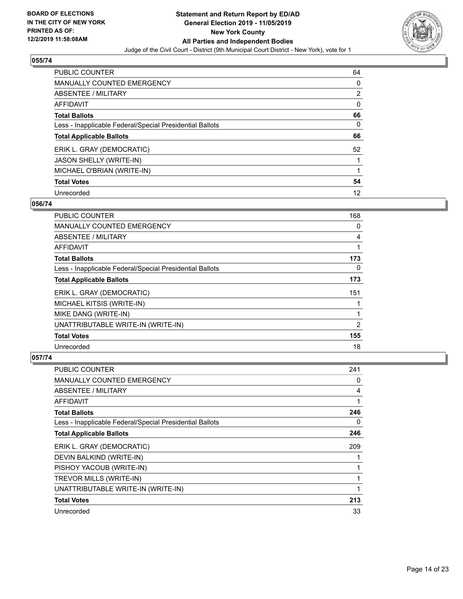

| PUBLIC COUNTER                                           | 64             |
|----------------------------------------------------------|----------------|
| MANUALLY COUNTED EMERGENCY                               | $\Omega$       |
| ABSENTEE / MILITARY                                      | $\overline{2}$ |
| AFFIDAVIT                                                | 0              |
| <b>Total Ballots</b>                                     | 66             |
| Less - Inapplicable Federal/Special Presidential Ballots | 0              |
| <b>Total Applicable Ballots</b>                          | 66             |
| ERIK L. GRAY (DEMOCRATIC)                                | 52             |
| <b>JASON SHELLY (WRITE-IN)</b>                           |                |
| MICHAEL O'BRIAN (WRITE-IN)                               |                |
| <b>Total Votes</b>                                       | 54             |
| Unrecorded                                               | 12             |

#### **056/74**

| PUBLIC COUNTER                                           | 168      |
|----------------------------------------------------------|----------|
| <b>MANUALLY COUNTED EMERGENCY</b>                        | 0        |
| ABSENTEE / MILITARY                                      | 4        |
| AFFIDAVIT                                                | 1        |
| <b>Total Ballots</b>                                     | 173      |
| Less - Inapplicable Federal/Special Presidential Ballots | $\Omega$ |
| <b>Total Applicable Ballots</b>                          | 173      |
| ERIK L. GRAY (DEMOCRATIC)                                | 151      |
| MICHAEL KITSIS (WRITE-IN)                                | 1        |
| MIKE DANG (WRITE-IN)                                     |          |
| UNATTRIBUTABLE WRITE-IN (WRITE-IN)                       | 2        |
| <b>Total Votes</b>                                       | 155      |
| Unrecorded                                               | 18       |

| PUBLIC COUNTER                                           | 241 |
|----------------------------------------------------------|-----|
| MANUALLY COUNTED EMERGENCY                               | 0   |
| ABSENTEE / MILITARY                                      | 4   |
| AFFIDAVIT                                                | 1   |
| <b>Total Ballots</b>                                     | 246 |
| Less - Inapplicable Federal/Special Presidential Ballots | 0   |
| <b>Total Applicable Ballots</b>                          | 246 |
| ERIK L. GRAY (DEMOCRATIC)                                | 209 |
| DEVIN BALKIND (WRITE-IN)                                 |     |
| PISHOY YACOUB (WRITE-IN)                                 |     |
| TREVOR MILLS (WRITE-IN)                                  |     |
| UNATTRIBUTABLE WRITE-IN (WRITE-IN)                       |     |
| <b>Total Votes</b>                                       | 213 |
| Unrecorded                                               | 33  |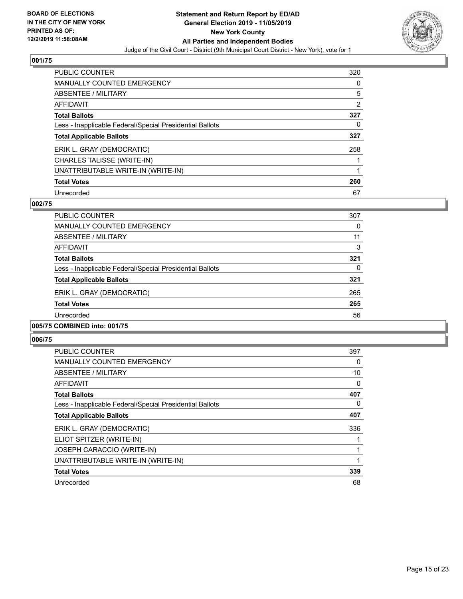

| PUBLIC COUNTER                                           | 320 |
|----------------------------------------------------------|-----|
| <b>MANUALLY COUNTED EMERGENCY</b>                        | 0   |
| ABSENTEE / MILITARY                                      | 5   |
| AFFIDAVIT                                                | 2   |
| <b>Total Ballots</b>                                     | 327 |
| Less - Inapplicable Federal/Special Presidential Ballots | 0   |
| <b>Total Applicable Ballots</b>                          | 327 |
| ERIK L. GRAY (DEMOCRATIC)                                | 258 |
| CHARLES TALISSE (WRITE-IN)                               |     |
| UNATTRIBUTABLE WRITE-IN (WRITE-IN)                       |     |
| <b>Total Votes</b>                                       | 260 |
| Unrecorded                                               | 67  |

#### **002/75**

| <b>PUBLIC COUNTER</b>                                    | 307      |
|----------------------------------------------------------|----------|
| <b>MANUALLY COUNTED EMERGENCY</b>                        | 0        |
| ABSENTEE / MILITARY                                      | 11       |
| AFFIDAVIT                                                | 3        |
| <b>Total Ballots</b>                                     | 321      |
| Less - Inapplicable Federal/Special Presidential Ballots | $\Omega$ |
| <b>Total Applicable Ballots</b>                          | 321      |
| ERIK L. GRAY (DEMOCRATIC)                                | 265      |
| <b>Total Votes</b>                                       | 265      |
| Unrecorded                                               | 56       |
|                                                          |          |

#### **005/75 COMBINED into: 001/75**

| <b>PUBLIC COUNTER</b>                                    | 397 |
|----------------------------------------------------------|-----|
| <b>MANUALLY COUNTED EMERGENCY</b>                        | 0   |
| ABSENTEE / MILITARY                                      | 10  |
| <b>AFFIDAVIT</b>                                         | 0   |
| <b>Total Ballots</b>                                     | 407 |
| Less - Inapplicable Federal/Special Presidential Ballots | 0   |
| <b>Total Applicable Ballots</b>                          | 407 |
| ERIK L. GRAY (DEMOCRATIC)                                | 336 |
| ELIOT SPITZER (WRITE-IN)                                 |     |
| <b>JOSEPH CARACCIO (WRITE-IN)</b>                        |     |
| UNATTRIBUTABLE WRITE-IN (WRITE-IN)                       | 1   |
| <b>Total Votes</b>                                       | 339 |
| Unrecorded                                               | 68  |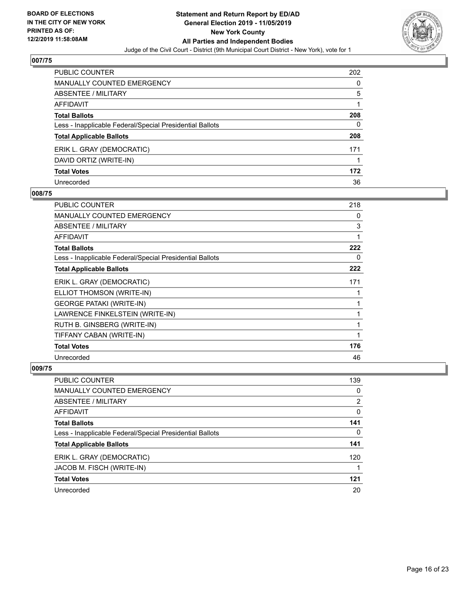

| PUBLIC COUNTER                                           | 202 |
|----------------------------------------------------------|-----|
| <b>MANUALLY COUNTED EMERGENCY</b>                        | 0   |
| <b>ABSENTEE / MILITARY</b>                               | 5   |
| <b>AFFIDAVIT</b>                                         |     |
| <b>Total Ballots</b>                                     | 208 |
| Less - Inapplicable Federal/Special Presidential Ballots | 0   |
| <b>Total Applicable Ballots</b>                          | 208 |
| ERIK L. GRAY (DEMOCRATIC)                                | 171 |
| DAVID ORTIZ (WRITE-IN)                                   |     |
| <b>Total Votes</b>                                       | 172 |
| Unrecorded                                               | 36  |

#### **008/75**

| <b>PUBLIC COUNTER</b>                                    | 218          |
|----------------------------------------------------------|--------------|
| <b>MANUALLY COUNTED EMERGENCY</b>                        | 0            |
| ABSENTEE / MILITARY                                      | 3            |
| AFFIDAVIT                                                | 1            |
| <b>Total Ballots</b>                                     | 222          |
| Less - Inapplicable Federal/Special Presidential Ballots | 0            |
| <b>Total Applicable Ballots</b>                          | 222          |
| ERIK L. GRAY (DEMOCRATIC)                                | 171          |
| ELLIOT THOMSON (WRITE-IN)                                |              |
| <b>GEORGE PATAKI (WRITE-IN)</b>                          |              |
| LAWRENCE FINKELSTEIN (WRITE-IN)                          | $\mathbf{1}$ |
| RUTH B. GINSBERG (WRITE-IN)                              | 1            |
| TIFFANY CABAN (WRITE-IN)                                 | 1            |
| <b>Total Votes</b>                                       | 176          |
| Unrecorded                                               | 46           |

| PUBLIC COUNTER                                           | 139            |
|----------------------------------------------------------|----------------|
| <b>MANUALLY COUNTED EMERGENCY</b>                        | 0              |
| ABSENTEE / MILITARY                                      | $\overline{2}$ |
| AFFIDAVIT                                                | 0              |
| <b>Total Ballots</b>                                     | 141            |
| Less - Inapplicable Federal/Special Presidential Ballots | 0              |
| <b>Total Applicable Ballots</b>                          | 141            |
| ERIK L. GRAY (DEMOCRATIC)                                | 120            |
| JACOB M. FISCH (WRITE-IN)                                |                |
| <b>Total Votes</b>                                       | 121            |
| Unrecorded                                               | 20             |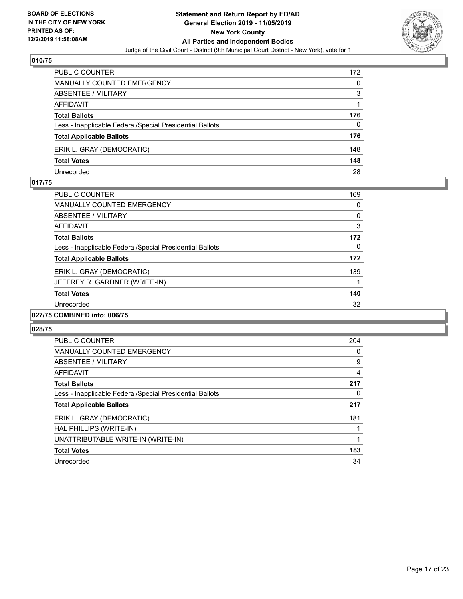

| PUBLIC COUNTER                                           | 172 |
|----------------------------------------------------------|-----|
| MANUALLY COUNTED EMERGENCY                               | 0   |
| ABSENTEE / MILITARY                                      | 3   |
| AFFIDAVIT                                                |     |
| <b>Total Ballots</b>                                     | 176 |
| Less - Inapplicable Federal/Special Presidential Ballots | 0   |
| <b>Total Applicable Ballots</b>                          | 176 |
| ERIK L. GRAY (DEMOCRATIC)                                | 148 |
| <b>Total Votes</b>                                       | 148 |
| Unrecorded                                               | 28  |

#### **017/75**

| <b>PUBLIC COUNTER</b>                                    | 169          |
|----------------------------------------------------------|--------------|
| <b>MANUALLY COUNTED EMERGENCY</b>                        | 0            |
| <b>ABSENTEE / MILITARY</b>                               | 0            |
| <b>AFFIDAVIT</b>                                         | 3            |
| <b>Total Ballots</b>                                     | 172          |
| Less - Inapplicable Federal/Special Presidential Ballots | $\mathbf{0}$ |
| <b>Total Applicable Ballots</b>                          | 172          |
| ERIK L. GRAY (DEMOCRATIC)                                | 139          |
| JEFFREY R. GARDNER (WRITE-IN)                            | 1            |
| <b>Total Votes</b>                                       | 140          |
| Unrecorded                                               | 32           |
| 027/75 COMBINED into: 006/75                             |              |

| PUBLIC COUNTER                                           | 204 |
|----------------------------------------------------------|-----|
| <b>MANUALLY COUNTED EMERGENCY</b>                        | 0   |
| ABSENTEE / MILITARY                                      | 9   |
| AFFIDAVIT                                                | 4   |
| <b>Total Ballots</b>                                     | 217 |
| Less - Inapplicable Federal/Special Presidential Ballots | 0   |
| <b>Total Applicable Ballots</b>                          | 217 |
| ERIK L. GRAY (DEMOCRATIC)                                | 181 |
| HAL PHILLIPS (WRITE-IN)                                  |     |
| UNATTRIBUTABLE WRITE-IN (WRITE-IN)                       |     |
| <b>Total Votes</b>                                       | 183 |
| Unrecorded                                               | 34  |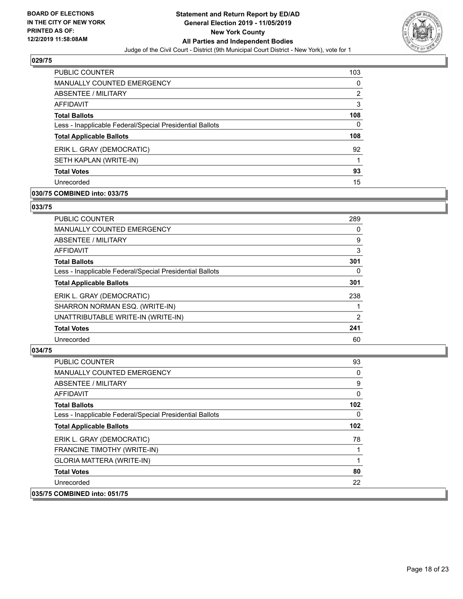

| <b>PUBLIC COUNTER</b>                                    | 103 |
|----------------------------------------------------------|-----|
| <b>MANUALLY COUNTED EMERGENCY</b>                        | 0   |
| ABSENTEE / MILITARY                                      | 2   |
| AFFIDAVIT                                                | 3   |
| <b>Total Ballots</b>                                     | 108 |
| Less - Inapplicable Federal/Special Presidential Ballots | 0   |
| <b>Total Applicable Ballots</b>                          | 108 |
| ERIK L. GRAY (DEMOCRATIC)                                | 92  |
| SETH KAPLAN (WRITE-IN)                                   |     |
| <b>Total Votes</b>                                       | 93  |
| Unrecorded                                               | 15  |

# **030/75 COMBINED into: 033/75**

#### **033/75**

| PUBLIC COUNTER                                           | 289 |
|----------------------------------------------------------|-----|
| MANUALLY COUNTED EMERGENCY                               | 0   |
| ABSENTEE / MILITARY                                      | 9   |
| AFFIDAVIT                                                | 3   |
| <b>Total Ballots</b>                                     | 301 |
| Less - Inapplicable Federal/Special Presidential Ballots | 0   |
| <b>Total Applicable Ballots</b>                          | 301 |
| ERIK L. GRAY (DEMOCRATIC)                                | 238 |
| SHARRON NORMAN ESQ. (WRITE-IN)                           |     |
| UNATTRIBUTABLE WRITE-IN (WRITE-IN)                       | 2   |
| <b>Total Votes</b>                                       | 241 |
| Unrecorded                                               | 60  |

| <b>PUBLIC COUNTER</b>                                    | 93       |
|----------------------------------------------------------|----------|
| <b>MANUALLY COUNTED EMERGENCY</b>                        | 0        |
| ABSENTEE / MILITARY                                      | 9        |
| AFFIDAVIT                                                | 0        |
| <b>Total Ballots</b>                                     | 102      |
| Less - Inapplicable Federal/Special Presidential Ballots | $\Omega$ |
| <b>Total Applicable Ballots</b>                          | 102      |
| ERIK L. GRAY (DEMOCRATIC)                                | 78       |
| FRANCINE TIMOTHY (WRITE-IN)                              |          |
| GLORIA MATTERA (WRITE-IN)                                |          |
| <b>Total Votes</b>                                       | 80       |
| Unrecorded                                               | 22       |
| 035/75 COMBINED into: 051/75                             |          |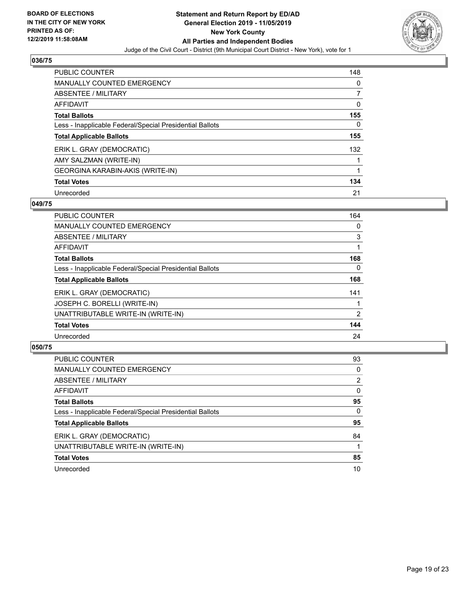

| <b>PUBLIC COUNTER</b>                                    | 148 |
|----------------------------------------------------------|-----|
| <b>MANUALLY COUNTED EMERGENCY</b>                        | 0   |
| ABSENTEE / MILITARY                                      | 7   |
| AFFIDAVIT                                                | 0   |
| <b>Total Ballots</b>                                     | 155 |
| Less - Inapplicable Federal/Special Presidential Ballots | 0   |
| <b>Total Applicable Ballots</b>                          | 155 |
| ERIK L. GRAY (DEMOCRATIC)                                | 132 |
| AMY SALZMAN (WRITE-IN)                                   |     |
| <b>GEORGINA KARABIN-AKIS (WRITE-IN)</b>                  | 1   |
| <b>Total Votes</b>                                       | 134 |
| Unrecorded                                               | 21  |

#### **049/75**

| <b>PUBLIC COUNTER</b>                                    | 164      |
|----------------------------------------------------------|----------|
| <b>MANUALLY COUNTED EMERGENCY</b>                        | 0        |
| ABSENTEE / MILITARY                                      | 3        |
| <b>AFFIDAVIT</b>                                         |          |
| <b>Total Ballots</b>                                     | 168      |
| Less - Inapplicable Federal/Special Presidential Ballots | $\Omega$ |
| <b>Total Applicable Ballots</b>                          | 168      |
| ERIK L. GRAY (DEMOCRATIC)                                | 141      |
| JOSEPH C. BORELLI (WRITE-IN)                             |          |
| UNATTRIBUTABLE WRITE-IN (WRITE-IN)                       | 2        |
| <b>Total Votes</b>                                       | 144      |
| Unrecorded                                               | 24       |

| <b>PUBLIC COUNTER</b>                                    | 93       |
|----------------------------------------------------------|----------|
| <b>MANUALLY COUNTED EMERGENCY</b>                        | $\Omega$ |
| ABSENTEE / MILITARY                                      | 2        |
| AFFIDAVIT                                                | $\Omega$ |
| <b>Total Ballots</b>                                     | 95       |
| Less - Inapplicable Federal/Special Presidential Ballots | 0        |
| <b>Total Applicable Ballots</b>                          | 95       |
| ERIK L. GRAY (DEMOCRATIC)                                | 84       |
| UNATTRIBUTABLE WRITE-IN (WRITE-IN)                       |          |
| <b>Total Votes</b>                                       | 85       |
| Unrecorded                                               | 10       |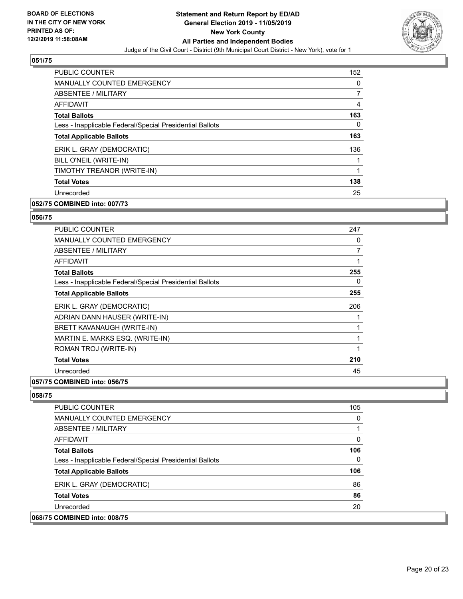

| <b>PUBLIC COUNTER</b>                                    | 152 |
|----------------------------------------------------------|-----|
| <b>MANUALLY COUNTED EMERGENCY</b>                        | 0   |
| ABSENTEE / MILITARY                                      | 7   |
| <b>AFFIDAVIT</b>                                         | 4   |
| <b>Total Ballots</b>                                     | 163 |
| Less - Inapplicable Federal/Special Presidential Ballots | 0   |
| <b>Total Applicable Ballots</b>                          | 163 |
| ERIK L. GRAY (DEMOCRATIC)                                | 136 |
| BILL O'NEIL (WRITE-IN)                                   |     |
| TIMOTHY TREANOR (WRITE-IN)                               | 1   |
| <b>Total Votes</b>                                       | 138 |
| Unrecorded                                               | 25  |
|                                                          |     |

# **052/75 COMBINED into: 007/73**

#### **056/75**

| <b>PUBLIC COUNTER</b>                                    | 247 |
|----------------------------------------------------------|-----|
| <b>MANUALLY COUNTED EMERGENCY</b>                        | 0   |
| ABSENTEE / MILITARY                                      | 7   |
| <b>AFFIDAVIT</b>                                         | 1   |
| <b>Total Ballots</b>                                     | 255 |
| Less - Inapplicable Federal/Special Presidential Ballots | 0   |
| <b>Total Applicable Ballots</b>                          | 255 |
| ERIK L. GRAY (DEMOCRATIC)                                | 206 |
| ADRIAN DANN HAUSER (WRITE-IN)                            |     |
| <b>BRETT KAVANAUGH (WRITE-IN)</b>                        |     |
| MARTIN E. MARKS ESQ. (WRITE-IN)                          | 1   |
| ROMAN TROJ (WRITE-IN)                                    | 1   |
| <b>Total Votes</b>                                       | 210 |
| Unrecorded                                               | 45  |
| A                                                        |     |

#### **057/75 COMBINED into: 056/75**

| <b>PUBLIC COUNTER</b>                                    | 105 |
|----------------------------------------------------------|-----|
| <b>MANUALLY COUNTED EMERGENCY</b>                        | 0   |
| ABSENTEE / MILITARY                                      |     |
| AFFIDAVIT                                                | 0   |
| <b>Total Ballots</b>                                     | 106 |
| Less - Inapplicable Federal/Special Presidential Ballots | 0   |
| <b>Total Applicable Ballots</b>                          | 106 |
| ERIK L. GRAY (DEMOCRATIC)                                | 86  |
| <b>Total Votes</b>                                       | 86  |
| Unrecorded                                               | 20  |
| 068/75 COMBINED into: 008/75                             |     |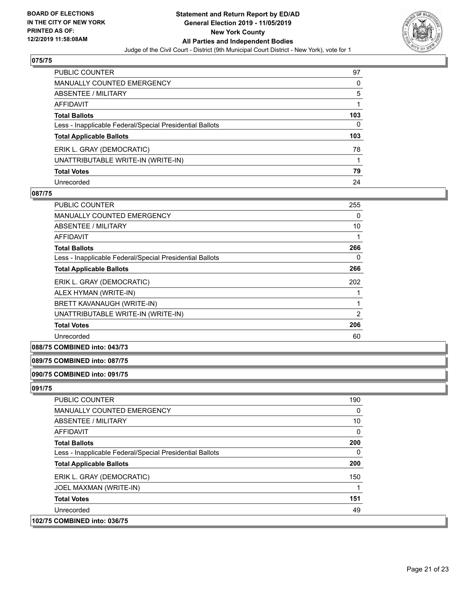

| PUBLIC COUNTER                                           | 97           |
|----------------------------------------------------------|--------------|
| <b>MANUALLY COUNTED EMERGENCY</b>                        | 0            |
| <b>ABSENTEE / MILITARY</b>                               | 5            |
| <b>AFFIDAVIT</b>                                         |              |
| <b>Total Ballots</b>                                     | 103          |
| Less - Inapplicable Federal/Special Presidential Ballots | $\mathbf{0}$ |
| <b>Total Applicable Ballots</b>                          | 103          |
| ERIK L. GRAY (DEMOCRATIC)                                | 78           |
| UNATTRIBUTABLE WRITE-IN (WRITE-IN)                       |              |
| <b>Total Votes</b>                                       | 79           |
| Unrecorded                                               | 24           |

#### **087/75**

| PUBLIC COUNTER                                           | 255      |
|----------------------------------------------------------|----------|
| <b>MANUALLY COUNTED EMERGENCY</b>                        | $\Omega$ |
| ABSENTEE / MILITARY                                      | 10       |
| AFFIDAVIT                                                |          |
| <b>Total Ballots</b>                                     | 266      |
| Less - Inapplicable Federal/Special Presidential Ballots | 0        |
| <b>Total Applicable Ballots</b>                          | 266      |
| ERIK L. GRAY (DEMOCRATIC)                                | 202      |
| ALEX HYMAN (WRITE-IN)                                    |          |
| BRETT KAVANAUGH (WRITE-IN)                               |          |
| UNATTRIBUTABLE WRITE-IN (WRITE-IN)                       | 2        |
| <b>Total Votes</b>                                       | 206      |
| Unrecorded                                               | 60       |

# **088/75 COMBINED into: 043/73**

#### **089/75 COMBINED into: 087/75**

# **090/75 COMBINED into: 091/75**

| <b>PUBLIC COUNTER</b>                                    | 190 |
|----------------------------------------------------------|-----|
| <b>MANUALLY COUNTED EMERGENCY</b>                        | 0   |
| ABSENTEE / MILITARY                                      | 10  |
| AFFIDAVIT                                                | 0   |
| <b>Total Ballots</b>                                     | 200 |
| Less - Inapplicable Federal/Special Presidential Ballots | 0   |
| <b>Total Applicable Ballots</b>                          | 200 |
| ERIK L. GRAY (DEMOCRATIC)                                | 150 |
| JOEL MAXMAN (WRITE-IN)                                   |     |
| <b>Total Votes</b>                                       | 151 |
| Unrecorded                                               | 49  |
| 102/75 COMBINED into: 036/75                             |     |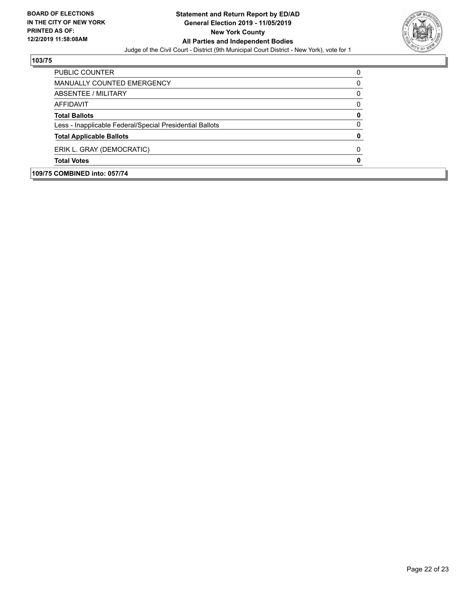

| <b>Total Votes</b>                                       |   |
|----------------------------------------------------------|---|
| ERIK L. GRAY (DEMOCRATIC)                                | O |
| <b>Total Applicable Ballots</b>                          | 0 |
| Less - Inapplicable Federal/Special Presidential Ballots | 0 |
| <b>Total Ballots</b>                                     | 0 |
| AFFIDAVIT                                                | ŋ |
| ABSENTEE / MILITARY                                      | 0 |
| <b>MANUALLY COUNTED EMERGENCY</b>                        | 0 |
| PUBLIC COUNTER                                           |   |